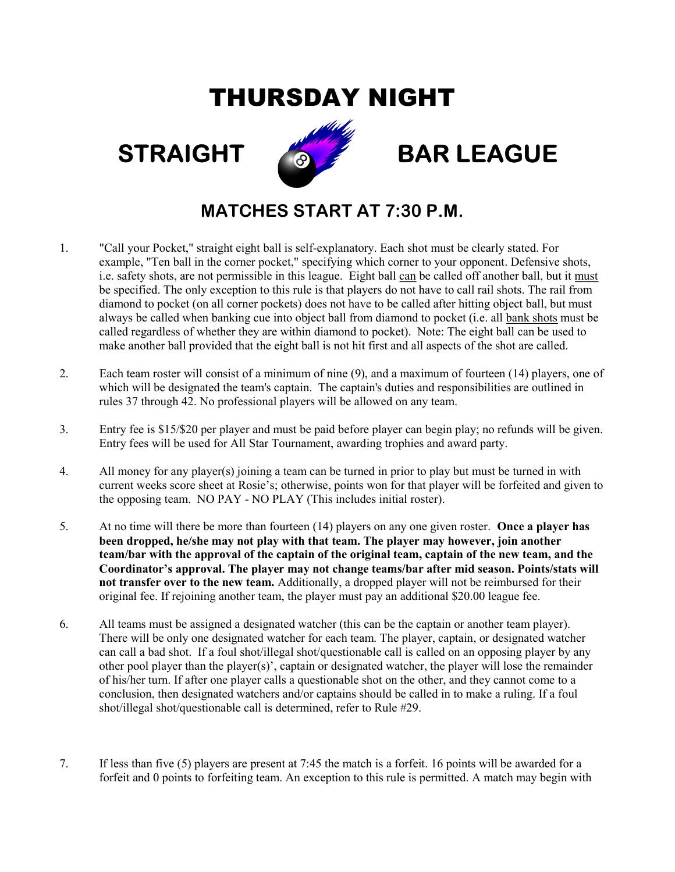## THURSDAY NIGHT



## STRAIGHT **BAR LEAGUE**

## MATCHES START AT 7:30 P.M.

- 1. "Call your Pocket," straight eight ball is self-explanatory. Each shot must be clearly stated. For example, "Ten ball in the corner pocket," specifying which corner to your opponent. Defensive shots, i.e. safety shots, are not permissible in this league. Eight ball can be called off another ball, but it must be specified. The only exception to this rule is that players do not have to call rail shots. The rail from diamond to pocket (on all corner pockets) does not have to be called after hitting object ball, but must always be called when banking cue into object ball from diamond to pocket (i.e. all bank shots must be called regardless of whether they are within diamond to pocket). Note: The eight ball can be used to make another ball provided that the eight ball is not hit first and all aspects of the shot are called.
- 2. Each team roster will consist of a minimum of nine (9), and a maximum of fourteen (14) players, one of which will be designated the team's captain. The captain's duties and responsibilities are outlined in rules 37 through 42. No professional players will be allowed on any team.
- 3. Entry fee is \$15/\$20 per player and must be paid before player can begin play; no refunds will be given. Entry fees will be used for All Star Tournament, awarding trophies and award party.
- 4. All money for any player(s) joining a team can be turned in prior to play but must be turned in with current weeks score sheet at Rosie's; otherwise, points won for that player will be forfeited and given to the opposing team. NO PAY - NO PLAY (This includes initial roster).
- 5. At no time will there be more than fourteen (14) players on any one given roster. Once a player has been dropped, he/she may not play with that team. The player may however, join another team/bar with the approval of the captain of the original team, captain of the new team, and the Coordinator's approval. The player may not change teams/bar after mid season. Points/stats will not transfer over to the new team. Additionally, a dropped player will not be reimbursed for their original fee. If rejoining another team, the player must pay an additional \$20.00 league fee.
- 6. All teams must be assigned a designated watcher (this can be the captain or another team player). There will be only one designated watcher for each team. The player, captain, or designated watcher can call a bad shot. If a foul shot/illegal shot/questionable call is called on an opposing player by any other pool player than the player(s)', captain or designated watcher, the player will lose the remainder of his/her turn. If after one player calls a questionable shot on the other, and they cannot come to a conclusion, then designated watchers and/or captains should be called in to make a ruling. If a foul shot/illegal shot/questionable call is determined, refer to Rule #29.
- 7. If less than five (5) players are present at 7:45 the match is a forfeit. 16 points will be awarded for a forfeit and 0 points to forfeiting team. An exception to this rule is permitted. A match may begin with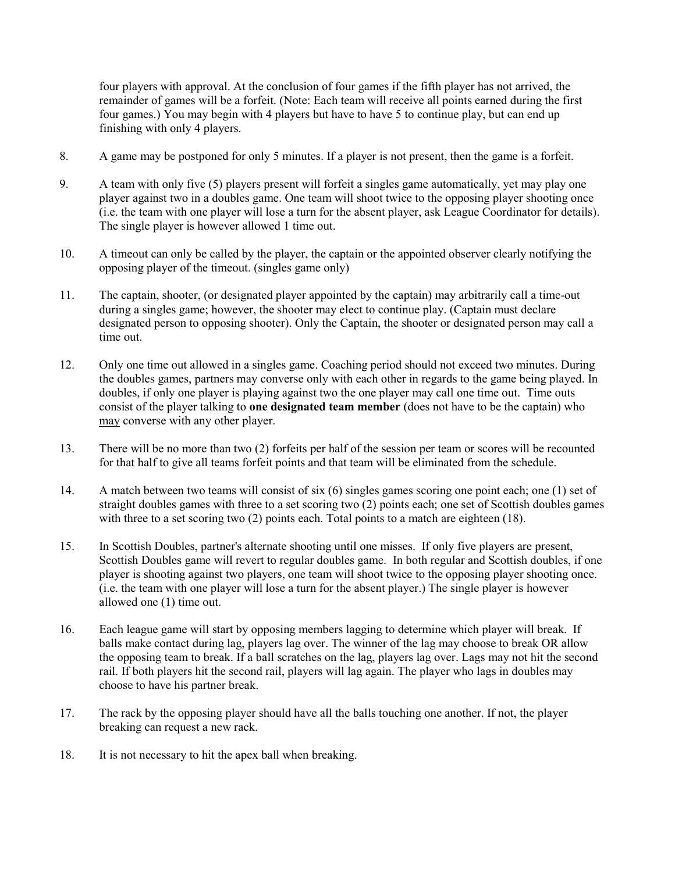four players with approval. At the conclusion of four games if the fifth player has not arrived, the remainder of games will be a forfeit. (Note: Each team will receive all points earned during the first four games.) You may begin with 4 players but have to have 5 to continue play, but can end up finishing with only 4 players.

- 8. A game may be postponed for only 5 minutes. If a player is not present, then the game is a forfeit.
- 9. A team with only five (5) players present will forfeit a singles game automatically, yet may play one player against two in a doubles game. One team will shoot twice to the opposing player shooting once (i.e. the team with one player will lose a turn for the absent player, ask League Coordinator for details). The single player is however allowed 1 time out.
- 10. A timeout can only be called by the player, the captain or the appointed observer clearly notifying the opposing player of the timeout. (singles game only)
- 11. The captain, shooter, (or designated player appointed by the captain) may arbitrarily call a time-out during a singles game; however, the shooter may elect to continue play. (Captain must declare designated person to opposing shooter). Only the Captain, the shooter or designated person may call a time out.
- 12. Only one time out allowed in a singles game. Coaching period should not exceed two minutes. During the doubles games, partners may converse only with each other in regards to the game being played. In doubles, if only one player is playing against two the one player may call one time out. Time outs consist of the player talking to one designated team member (does not have to be the captain) who may converse with any other player.
- 13. There will be no more than two (2) forfeits per half of the session per team or scores will be recounted for that half to give all teams forfeit points and that team will be eliminated from the schedule.
- 14. A match between two teams will consist of six (6) singles games scoring one point each; one (1) set of straight doubles games with three to a set scoring two (2) points each; one set of Scottish doubles games with three to a set scoring two (2) points each. Total points to a match are eighteen (18).
- 15. In Scottish Doubles, partner's alternate shooting until one misses. If only five players are present, Scottish Doubles game will revert to regular doubles game. In both regular and Scottish doubles, if one player is shooting against two players, one team will shoot twice to the opposing player shooting once. (i.e. the team with one player will lose a turn for the absent player.) The single player is however allowed one (1) time out.
- 16. Each league game will start by opposing members lagging to determine which player will break. If balls make contact during lag, players lag over. The winner of the lag may choose to break OR allow the opposing team to break. If a ball scratches on the lag, players lag over. Lags may not hit the second rail. If both players hit the second rail, players will lag again. The player who lags in doubles may choose to have his partner break.
- 17. The rack by the opposing player should have all the balls touching one another. If not, the player breaking can request a new rack.
- 18. It is not necessary to hit the apex ball when breaking.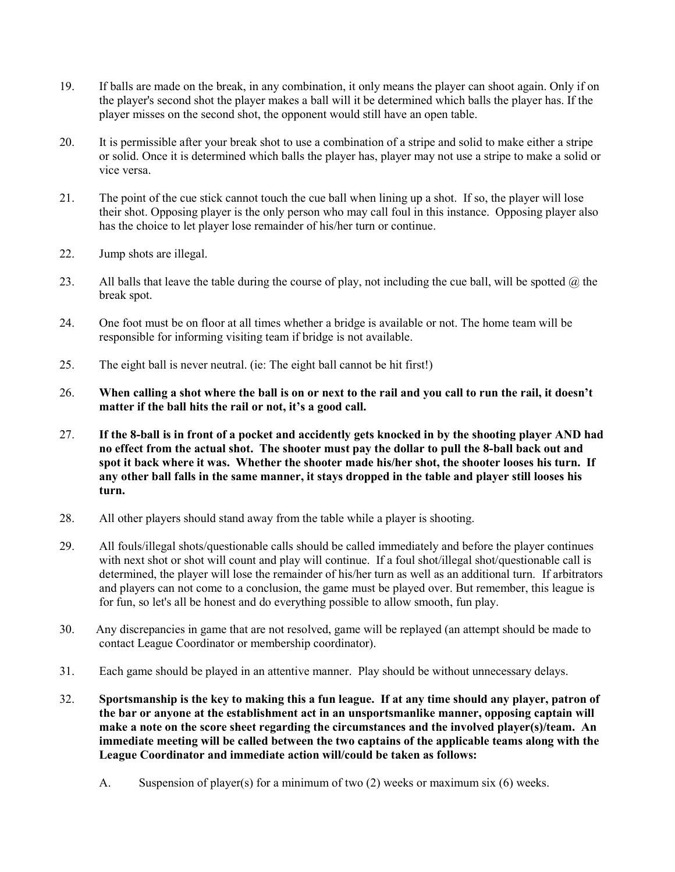- 19. If balls are made on the break, in any combination, it only means the player can shoot again. Only if on the player's second shot the player makes a ball will it be determined which balls the player has. If the player misses on the second shot, the opponent would still have an open table.
- 20. It is permissible after your break shot to use a combination of a stripe and solid to make either a stripe or solid. Once it is determined which balls the player has, player may not use a stripe to make a solid or vice versa.
- 21. The point of the cue stick cannot touch the cue ball when lining up a shot. If so, the player will lose their shot. Opposing player is the only person who may call foul in this instance. Opposing player also has the choice to let player lose remainder of his/her turn or continue.
- 22. Jump shots are illegal.
- 23. All balls that leave the table during the course of play, not including the cue ball, will be spotted  $\omega$  the break spot.
- 24. One foot must be on floor at all times whether a bridge is available or not. The home team will be responsible for informing visiting team if bridge is not available.
- 25. The eight ball is never neutral. (ie: The eight ball cannot be hit first!)
- 26. When calling a shot where the ball is on or next to the rail and you call to run the rail, it doesn't matter if the ball hits the rail or not, it's a good call.
- 27. If the 8-ball is in front of a pocket and accidently gets knocked in by the shooting player AND had no effect from the actual shot. The shooter must pay the dollar to pull the 8-ball back out and spot it back where it was. Whether the shooter made his/her shot, the shooter looses his turn. If any other ball falls in the same manner, it stays dropped in the table and player still looses his turn.
- 28. All other players should stand away from the table while a player is shooting.
- 29. All fouls/illegal shots/questionable calls should be called immediately and before the player continues with next shot or shot will count and play will continue. If a foul shot/illegal shot/questionable call is determined, the player will lose the remainder of his/her turn as well as an additional turn. If arbitrators and players can not come to a conclusion, the game must be played over. But remember, this league is for fun, so let's all be honest and do everything possible to allow smooth, fun play.
- 30. Any discrepancies in game that are not resolved, game will be replayed (an attempt should be made to contact League Coordinator or membership coordinator).
- 31. Each game should be played in an attentive manner. Play should be without unnecessary delays.
- 32. Sportsmanship is the key to making this a fun league. If at any time should any player, patron of the bar or anyone at the establishment act in an unsportsmanlike manner, opposing captain will make a note on the score sheet regarding the circumstances and the involved player(s)/team. An immediate meeting will be called between the two captains of the applicable teams along with the League Coordinator and immediate action will/could be taken as follows:
	- A. Suspension of player(s) for a minimum of two (2) weeks or maximum six (6) weeks.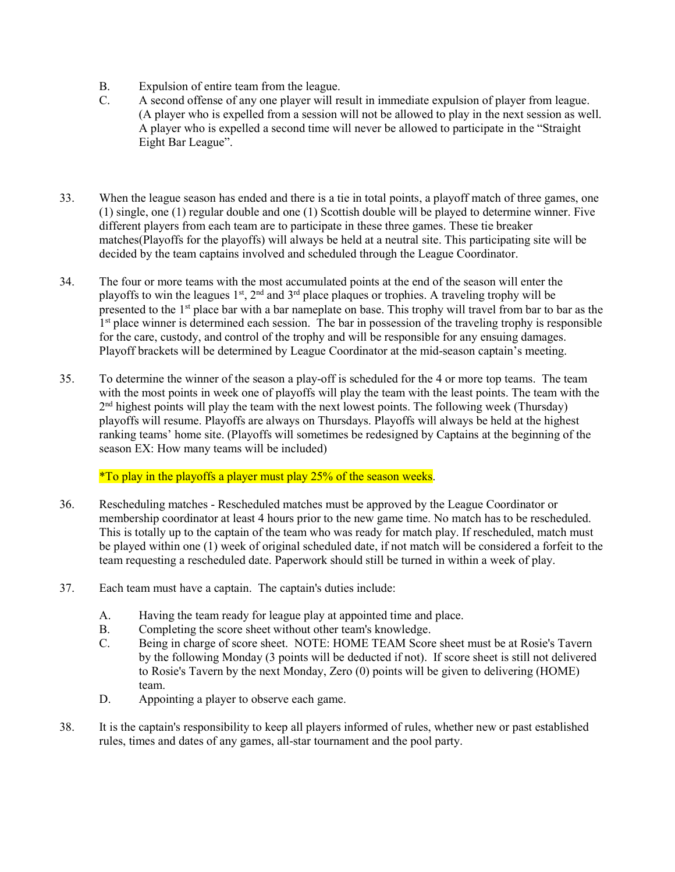- B. Expulsion of entire team from the league.
- C. A second offense of any one player will result in immediate expulsion of player from league. (A player who is expelled from a session will not be allowed to play in the next session as well. A player who is expelled a second time will never be allowed to participate in the "Straight Eight Bar League".
- 33. When the league season has ended and there is a tie in total points, a playoff match of three games, one (1) single, one (1) regular double and one (1) Scottish double will be played to determine winner. Five different players from each team are to participate in these three games. These tie breaker matches(Playoffs for the playoffs) will always be held at a neutral site. This participating site will be decided by the team captains involved and scheduled through the League Coordinator.
- 34. The four or more teams with the most accumulated points at the end of the season will enter the playoffs to win the leagues  $1^{st}$ ,  $2^{nd}$  and  $3^{rd}$  place plaques or trophies. A traveling trophy will be presented to the 1<sup>st</sup> place bar with a bar nameplate on base. This trophy will travel from bar to bar as the 1<sup>st</sup> place winner is determined each session. The bar in possession of the traveling trophy is responsible for the care, custody, and control of the trophy and will be responsible for any ensuing damages. Playoff brackets will be determined by League Coordinator at the mid-season captain's meeting.
- 35. To determine the winner of the season a play-off is scheduled for the 4 or more top teams. The team with the most points in week one of playoffs will play the team with the least points. The team with the  $2<sup>nd</sup>$  highest points will play the team with the next lowest points. The following week (Thursday) playoffs will resume. Playoffs are always on Thursdays. Playoffs will always be held at the highest ranking teams' home site. (Playoffs will sometimes be redesigned by Captains at the beginning of the season EX: How many teams will be included)

\*To play in the playoffs a player must play 25% of the season weeks.

- 36. Rescheduling matches Rescheduled matches must be approved by the League Coordinator or membership coordinator at least 4 hours prior to the new game time. No match has to be rescheduled. This is totally up to the captain of the team who was ready for match play. If rescheduled, match must be played within one (1) week of original scheduled date, if not match will be considered a forfeit to the team requesting a rescheduled date. Paperwork should still be turned in within a week of play.
- 37. Each team must have a captain. The captain's duties include:
	- A. Having the team ready for league play at appointed time and place.
	- B. Completing the score sheet without other team's knowledge.
	- C. Being in charge of score sheet. NOTE: HOME TEAM Score sheet must be at Rosie's Tavern by the following Monday (3 points will be deducted if not). If score sheet is still not delivered to Rosie's Tavern by the next Monday, Zero (0) points will be given to delivering (HOME) team.
	- D. Appointing a player to observe each game.
- 38. It is the captain's responsibility to keep all players informed of rules, whether new or past established rules, times and dates of any games, all-star tournament and the pool party.